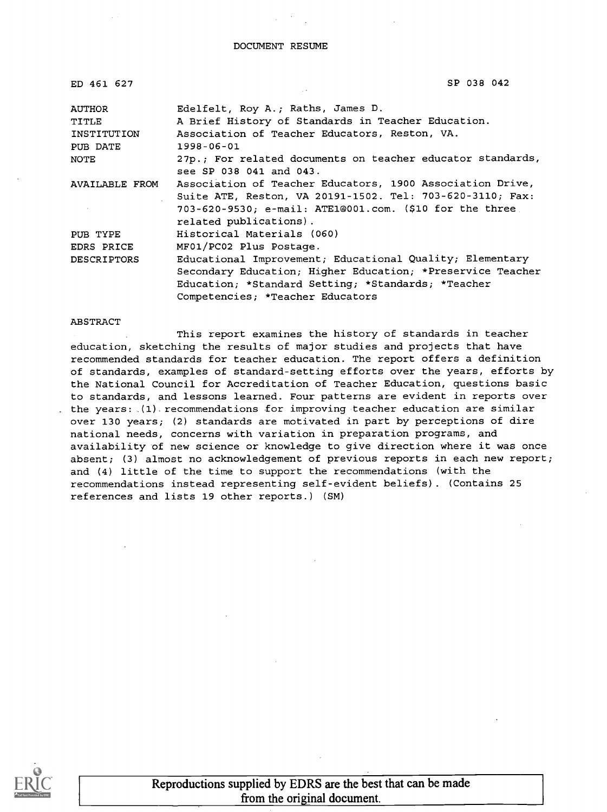| ED 461 627         | SP 038 042                                                                                                                                                                                                       |
|--------------------|------------------------------------------------------------------------------------------------------------------------------------------------------------------------------------------------------------------|
| <b>AUTHOR</b>      | Edelfelt, Roy A.; Raths, James D.                                                                                                                                                                                |
| TITLE              | A Brief History of Standards in Teacher Education.                                                                                                                                                               |
| INSTITUTION        | Association of Teacher Educators, Reston, VA.                                                                                                                                                                    |
| PUB DATE           | 1998-06-01                                                                                                                                                                                                       |
| NOTE               | 27p.; For related documents on teacher educator standards,<br>see SP 038 041 and 043.                                                                                                                            |
| AVAILABLE FROM     | Association of Teacher Educators, 1900 Association Drive,<br>Suite ATE, Reston, VA 20191-1502. Tel: 703-620-3110; Fax:<br>703-620-9530; e-mail: ATE1@001.com. (\$10 for the three.<br>related publications).     |
| PUB TYPE           | Historical Materials (060)                                                                                                                                                                                       |
| EDRS PRICE         | MF01/PC02 Plus Postage.                                                                                                                                                                                          |
| <b>DESCRIPTORS</b> | Educational Improvement; Educational Quality; Elementary<br>Secondary Education; Higher Education; *Preservice Teacher<br>Education; *Standard Setting; *Standards; *Teacher<br>Competencies; *Teacher Educators |

#### ABSTRACT

This report examines the history of standards in teacher education, sketching the results of major studies and projects that have recommended standards for teacher education. The report offers a definition of standards, examples of standard-setting efforts over the years, efforts by the National Council for Accreditation of Teacher Education, questions basic to standards, and lessons learned. Four patterns are evident in reports over the years: (1). recommendations for improving teacher education are similar over 130 years; (2) standards are motivated in part by perceptions of dire national needs, concerns with variation in preparation programs, and availability of new science or knowledge to give direction where it was once absent; (3) almost no acknowledgement of previous reports in each new report; and (4) little of the time to support the recommendations (with the recommendations instead representing self-evident beliefs) . (Contains 25 references and lists 19 other reports.) (SM)



Reproductions supplied by EDRS are the best that can be made from the original document.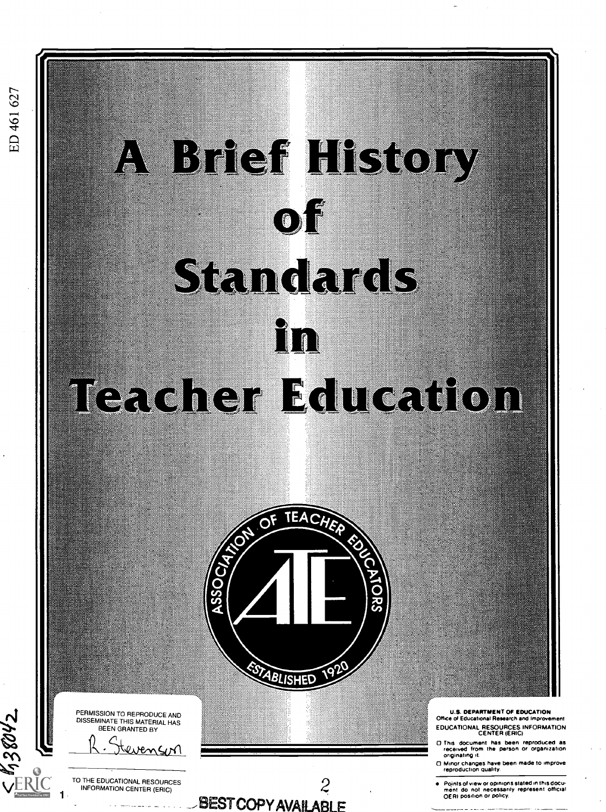# 4-7 VT. , Amok' LANNs,. Mt\ " ' ' fs, , of ,1 T , 5 ,,:k'\$ rNSS Standards .`"Zr. , <sup>R</sup> Ĭ'n .k.'&5; 5..\& ,., r,,;:  $Z'$  . So s <u>SC KONLEAN BOTT</u> , ,;:\

TEACHER SOLD ESTABLISHED

PERMISSION TO REPRODUCE AND DJSSEMINATE THIS MATERIAL HAS BEEN GRANTED BY

5SSS -555

5

 $\mathcal{S}$  stitled the state  $\mathcal{S}$ 

5, <sup>5</sup>

55is, '5

5` , 5,

<sup>5</sup> <sup>5</sup> , ,

4

 $\frac{1}{\sqrt{2}}$   $\frac{1}{\sqrt{2}}$ 

19 S. Grand TO THE EDUCATIONAL RESOURCES INFORMATION CENTER (ERIC)

 $2 \frac{1}{2}$ **BEST COPY AVAILABLE** 

**U.S. DEPARTMENT OF EDUCATION** 

**communication** 

<sup>s</sup> '54,t 5.1, :':; 5,":',..\`',.`,...5\*

, .&

:;ts

Z, , ks.k

s ,..::: ,

+Its ":

7' ,`

<sup>&</sup>lt; "

<sup>s</sup>.s k7:tj

 Office of Educational Research and Improvement EDUCATIONAL RESOURCES INFORMATION CENTER (ERIC)

CI This document has been reproduced as received from the person or organization originating it

- 0 Minor changes have been made to improve reproduction quality.
- Points of view or opinions stated in this docu- ment do not necessarily represent official OERI position or policy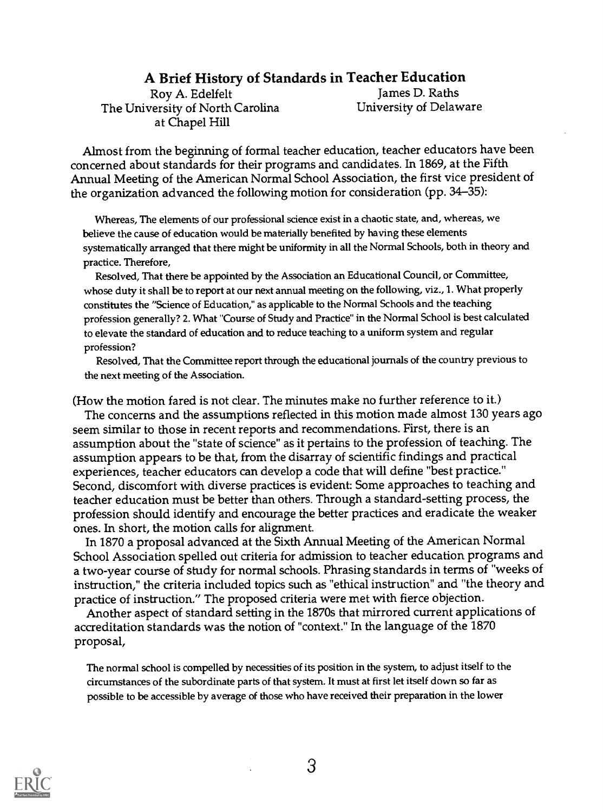# A Brief History of Standards in Teacher Education<br>Roy A, Edelfelt [ames D. Raths]

Roy A. Edelfelt James D. Raths The University of North Carolina at Chapel Hill

Almost from the beginning of formal teacher education, teacher educators have been concerned about standards for their programs and candidates. In 1869, at the Fifth Annual Meeting of the American Normal School Association, the first vice president of the organization advanced the following motion for consideration (pp. 34-35):

Whereas, The elements of our professional science exist in a chaotic state, and, whereas, we believe the cause of education would be materially benefited by having these elements systematically arranged that there might be uniformity in all the Normal Schools, both in theory and practice. Therefore,

Resolved, That there be appointed by the Association an Educational Council, or Committee, whose duty it shall be to report at our next annual meeting on the following, viz., 1. What properly constitutes the "Science of Education," as applicable to the Normal Schools and the teaching profession generally? 2. What "Course of Study and Practice" in the Normal School is best calculated to elevate the standard of education and to reduce teaching to a uniform system and regular profession?

Resolved, That the Committee report through the educational journals of the country previous to the next meeting of the Association.

(How the motion fared is not clear. The minutes make no further reference to it.)

The concerns and the assumptions reflected in this motion made almost 130 years ago seem similar to those in recent reports and recommendations. First, there is an assumption about the "state of science" as it pertains to the profession of teaching. The assumption appears to be that, from the disarray of scientific findings and practical experiences, teacher educators can develop a code that will define "best practice." Second, discomfort with diverse practices is evident: Some approaches to teaching and teacher education must be better than others. Through a standard-setting process, the profession should identify and encourage the better practices and eradicate the weaker ones. In short, the motion calls for alignment.

In 1870 a proposal advanced at the Sixth Annual Meeting of the American Normal School Association spelled out criteria for admission to teacher education programs and a two-year course of study for normal schools. Phrasing standards in terms of "weeks of instruction," the criteria included topics such as "ethical instruction" and "the theory and practice of instruction." The proposed criteria were met with fierce objection.

Another aspect of standard setting in the 1870s that mirrored current applications of accreditation standards was the notion of "context." In the language of the 1870 proposal,

The normal school is compelled by necessities of its position in the system, to adjust itself to the circumstances of the subordinate parts of that system. It must at first let itself down so far as possible to be accessible by average of those who have received their preparation in the lower

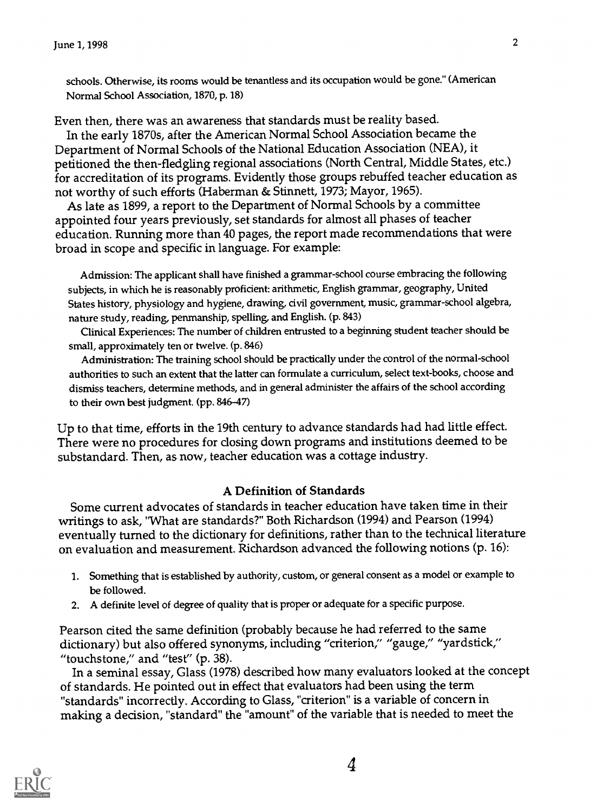schools. Otherwise, its rooms would be tenantless and its occupation would be gone." (American Normal School Association, 1870, P. 18)

Even then, there was an awareness that standards must be reality based.

In the early 1870s, after the American Normal School Association became the Department of Normal Schools of the National Education Association (NEA), it petitioned the then-fledgling regional associations (North Central, Middle States, etc.) for accreditation of its programs. Evidently those groups rebuffed teacher education as not worthy of such efforts (Haberman & Stinnett, 1973; Mayor, 1965).

As late as 1899, a report to the Department of Normal Schools by a committee appointed four years previously, set standards for almost all phases of teacher education. Running more than 40 pages, the report made recommendations that were broad in scope and specific in language. For example:

Admission: The applicant shall have finished a grammar-school course embracing the following subjects, in which he is reasonably proficient: arithmetic, English grammar, geography, United States history, physiology and hygiene, drawing, civil government, music, grammar-school algebra, nature study, reading, penmanship, spelling, and English. (p. 843)

Clinical Experiences: The number of children entrusted to a beginning student teacher should be small, approximately ten or twelve. (p. 846)

Administration: The training school should be practically under the control of the normal-school authorities to such an extent that the latter can formulate a curriculum, select text-books, choose and dismiss teachers, determine methods, and in general administer the affairs of the school according to their own best judgment. (pp. 846-47)

Up to that time, efforts in the 19th century to advance standards had had little effect. There were no procedures for closing down programs and institutions deemed to be substandard. Then, as now, teacher education was a cottage industry.

# A Definition of Standards

Some current advocates of standards in teacher education have taken time in their writings to ask, "What are standards?" Both Richardson (1994) and Pearson (1994) eventually turned to the dictionary for definitions, rather than to the technical literature on evaluation and measurement. Richardson advanced the following notions (p. 16):

- 1. Something that is established by authority, custom, or general consent as a model or example to be followed.
- 2. A definite level of degree of quality that is proper or adequate for a specific purpose.

Pearson cited the same definition (probably because he had referred to the same dictionary) but also offered synonyms, including "criterion," "gauge," "yardstick," "touchstone," and "test" (p. 38).

In a seminal essay, Glass (1978) described how many evaluators looked at the concept of standards. He pointed out in effect that evaluators had been using the term "standards" incorrectly. According to Glass, "criterion" is a variable of concern in making a decision, "standard" the "amount" of the variable that is needed to meet the

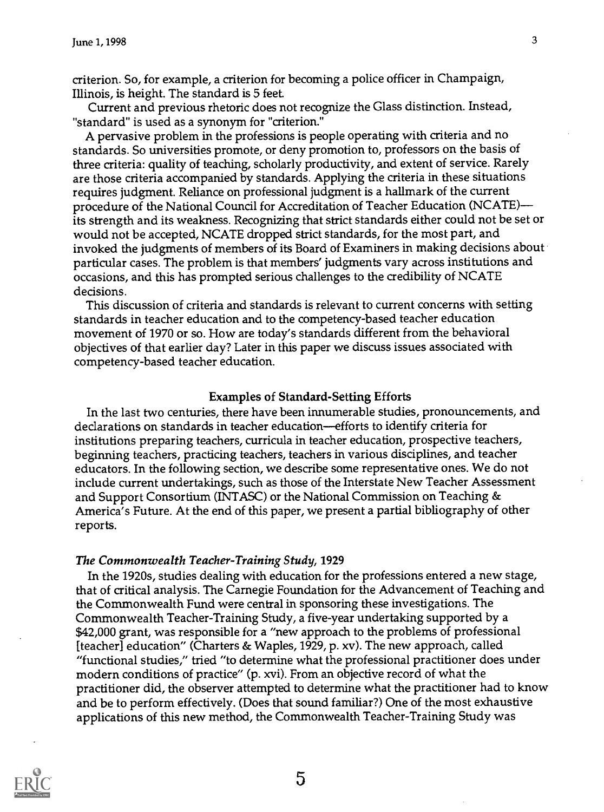criterion. So, for example, a criterion for becoming a police officer in Champaign, Illinois, is height. The standard is 5 feet.

Current and previous rhetoric does not recognize the Glass distinction. Instead, "standard" is used as a synonym for "criterion."

A pervasive problem in the professions is people operating with criteria and no standards. So universities promote, or deny promotion to, professors on the basis of three criteria: quality of teaching, scholarly productivity, and extent of service. Rarely are those criteria accompanied by standards. Applying the criteria in these situations requires judgment. Reliance on professional judgment is a hallmark of the current procedure of the National Council for Accreditation of Teacher Education (NCATE) its strength and its weakness. Recognizing that strict standards either could not be set or would not be accepted, NCATE dropped strict standards, for the most part, and invoked the judgments of members of its Board of Examiners in making decisions about particular cases. The problem is that members' judgments vary across institutions and occasions, and this has prompted serious challenges to the credibility of NCATE decisions.

This discussion of criteria and standards is relevant to current concerns with setting standards in teacher education and to the competency-based teacher education movement of 1970 or so. How are today's standards different from the behavioral objectives of that earlier day? Later in this paper we discuss issues associated with competency-based teacher education.

#### Examples of Standard-Setting Efforts

In the last two centuries, there have been innumerable studies, pronouncements, and declarations on standards in teacher education—efforts to identify criteria for institutions preparing teachers, curricula in teacher education, prospective teachers, beginning teachers, practicing teachers, teachers in various disciplines, and teacher educators. In the following section, we describe some representative ones. We do not include current undertakings, such as those of the Interstate New Teacher Assessment and Support Consortium (INTASC) or the National Commission on Teaching & America's Future. At the end of this paper, we present a partial bibliography of other reports.

#### The Commonwealth Teacher-Training Study, 1929

In the 1920s, studies dealing with education for the professions entered a new stage, that of critical analysis. The Carnegie Foundation for the Advancement of Teaching and the Commonwealth Fund were central in sponsoring these investigations. The Commonwealth Teacher-Training Study, a five-year undertaking supported by a \$42,000 grant, was responsible for a "new approach to the problems of professional [teacher] education" (Charters & Waples, 1929, p. xv). The new approach, called "functional studies," tried "to determine what the professional practitioner does under modern conditions of practice" (p. xvi). From an objective record of what the practitioner did, the observer attempted to determine what the practitioner had to know and be to perform effectively. (Does that sound familiar?) One of the most exhaustive applications of this new method, the Commonwealth Teacher-Training Study was

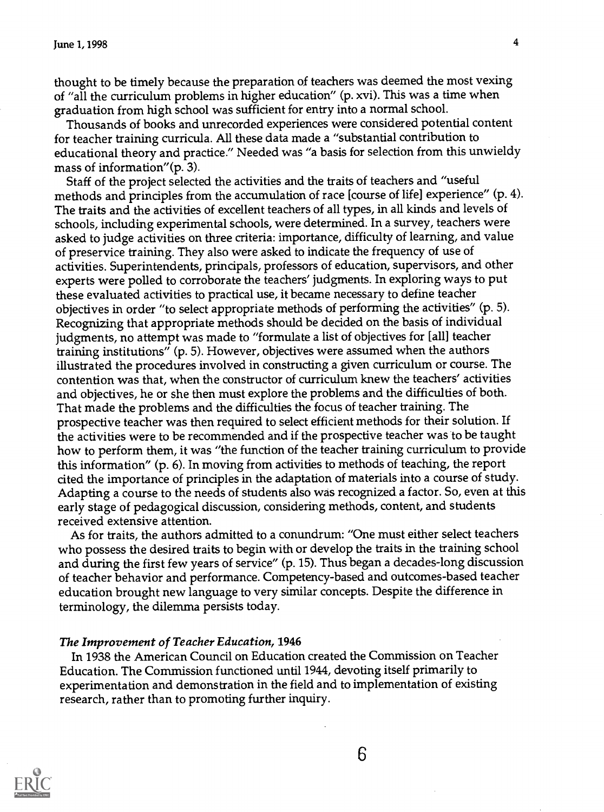thought to be timely because the preparation of teachers was deemed the most vexing of "all the curriculum problems in higher education" (p. xvi). This was a time when graduation from high school was sufficient for entry into a normal school.

Thousands of books and unrecorded experiences were considered potential content for teacher training curricula. All these data made a "substantial contribution to educational theory and practice." Needed was "a basis for selection from this unwieldy mass of information"(p. 3).

Staff of the project selected the activities and the traits of teachers and "useful methods and principles from the accumulation of race [course of life] experience" (p. 4). The traits and the activities of excellent teachers of all types, in all kinds and levels of schools, including experimental schools, were determined. In a survey, teachers were asked to judge activities on three criteria: importance, difficulty of learning, and value of preservice training. They also were asked to indicate the frequency of use of activities. Superintendents, principals, professors of education, supervisors, and other experts were polled to corroborate the teachers' judgments. In exploring ways to put these evaluated activities to practical use, it became necessary to define teacher objectives in order "to select appropriate methods of performing the activities" (p. 5). Recognizing that appropriate methods should be decided on the basis of individual judgments, no attempt was made to "formulate a list of objectives for [all] teacher training institutions" (p. 5). However, objectives were assumed when the authors illustrated the procedures involved in constructing a given curriculum or course. The contention was that, when the constructor of curriculum knew the teachers' activities and objectives, he or she then must explore the problems and the difficulties of both. That made the problems and the difficulties the focus of teacher training. The prospective teacher was then required to select efficient methods for their solution. If the activities were to be recommended and if the prospective teacher was to be taught how to perform them, it was "the function of the teacher training curriculum to provide this information" (p. 6). In moving from activities to methods of teaching, the report cited the importance of principles in the adaptation of materials into a course of study. Adapting a course to the needs of students also was recognized a factor. So, even at this early stage of pedagogical discussion, considering methods, content, and students received extensive attention.

As for traits, the authors admitted to a conundrum: "One must either select teachers who possess the desired traits to begin with or develop the traits in the training school and during the first few years of service" (p. 15). Thus began a decades-long discussion of teacher behavior and performance. Competency-based and outcomes-based teacher education brought new language to very similar concepts. Despite the difference in terminology, the dilemma persists today.

#### The Improvement of Teacher Education, 1946

In 1938 the American Council on Education created the Commission on Teacher Education. The Commission functioned until 1944, devoting itself primarily to experimentation and demonstration in the field and to implementation of existing research, rather than to promoting further inquiry.

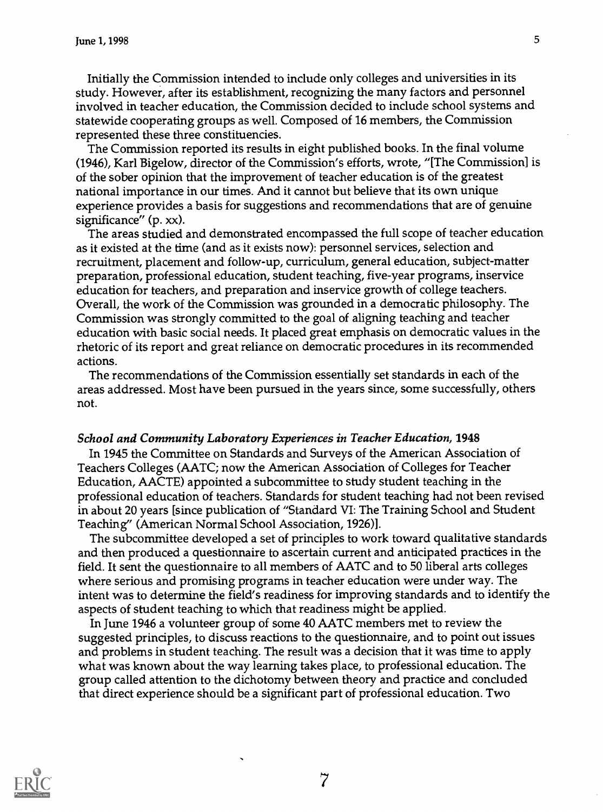Initially the Commission intended to include only colleges and universities in its study. However, after its establishment, recognizing the many factors and personnel involved in teacher education, the Commission decided to include school systems and statewide cooperating groups as well. Composed of 16 members, the Commission represented these three constituencies.

The Commission reported its results in eight published books. In the final volume (1946), Karl Bigelow, director of the Commission's efforts, wrote, "[The Commission] is of the sober opinion that the improvement of teacher education is of the greatest national importance in our times. And it cannot but believe that its own unique experience provides a basis for suggestions and recommendations that are of genuine significance" (p. xx).

The areas studied and demonstrated encompassed the full scope of teacher education as it existed at the time (and as it exists now): personnel services, selection and recruitment, placement and follow-up, curriculum, general education, subject-matter preparation, professional education, student teaching, five-year programs, inservice education for teachers, and preparation and inservice growth of college teachers. Overall, the work of the Commission was grounded in a democratic philosophy. The Commission was strongly committed to the goal of aligning teaching and teacher education with basic social needs. It placed great emphasis on democratic values in the rhetoric of its report and great reliance on democratic procedures in its recommended actions.

The recommendations of the Commission essentially set standards in each of the areas addressed. Most have been pursued in the years since, some successfully, others not.

#### School and Community Laboratory Experiences in Teacher Education, 1948

In 1945 the Committee on Standards and Surveys of the American Association of Teachers Colleges (AATC; now the American Association of Colleges for Teacher Education, AACTE) appointed a subcommittee to study student teaching in the professional education of teachers. Standards for student teaching had not been revised in about 20 years [since publication of "Standard VI: The Training School and Student Teaching" (American Normal School Association, 1926)].

The subcommittee developed a set of principles to work toward qualitative standards and then produced a questionnaire to ascertain current and anticipated practices in the field. It sent the questionnaire to all members of AATC and to 50 liberal arts colleges where serious and promising programs in teacher education were under way. The intent was to determine the field's readiness for improving standards and to identify the aspects of student teaching to which that readiness might be applied.

In June 1946 a volunteer group of some 40 AATC members met to review the suggested principles, to discuss reactions to the questionnaire, and to point out issues and problems in student teaching. The result was a decision that it was time to apply what was known about the way learning takes place, to professional education. The group called attention to the dichotomy between theory and practice and concluded that direct experience should be a significant part of professional education. Two

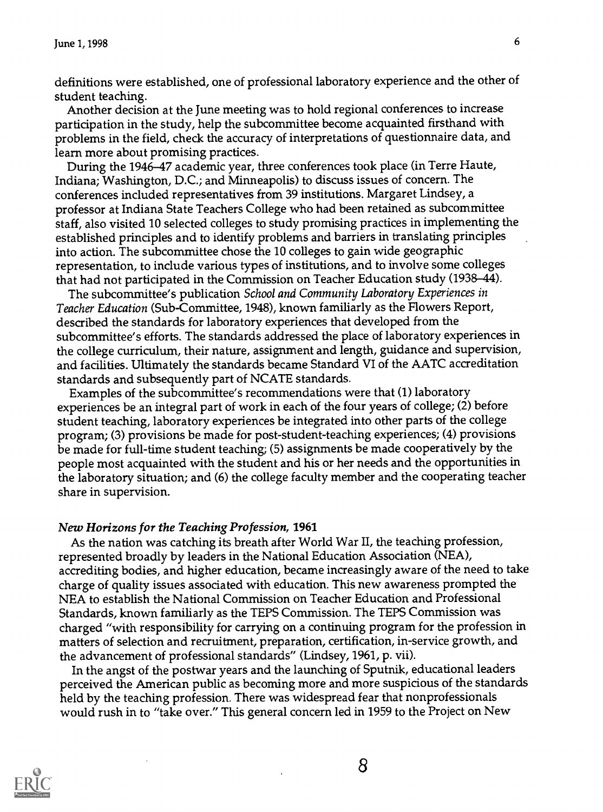definitions were established, one of professional laboratory experience and the other of student teaching.

Another decision at the June meeting was to hold regional conferences to increase participation in the study, help the subcommittee become acquainted firsthand with problems in the field, check the accuracy of interpretations of questionnaire data, and learn more about promising practices.

During the 1946-47 academic year, three conferences took place (in Terre Haute, Indiana; Washington, D.C.; and Minneapolis) to discuss issues of concern. The conferences included representatives from 39 institutions. Margaret Lindsey, a professor at Indiana State Teachers College who had been retained as subcommittee staff, also visited 10 selected colleges to study promising practices in implementing the established principles and to identify problems and barriers in translating principles into action. The subcommittee chose the 10 colleges to gain wide geographic representation, to include various types of institutions, and to involve some colleges that had not participated in the Commission on Teacher Education study (1938-44).

The subcommittee's publication School and Community Laboratory Experiences in Teacher Education (Sub-Committee, 1948), known familiarly as the Flowers Report, described the standards for laboratory experiences that developed from the subcommittee's efforts. The standards addressed the place of laboratory experiences in the college curriculum, their nature, assignment and length, guidance and supervision, and facilities. Ultimately the standards became Standard VI of the AATC accreditation standards and subsequently part of NCATE standards.

Examples of the subcommittee's recommendations were that (1) laboratory experiences be an integral part of work in each of the four years of college; (2) before student teaching, laboratory experiences be integrated into other parts of the college program; (3) provisions be made for post-student-teaching experiences; (4) provisions be made for full-time student teaching; (5) assignments be made cooperatively by the people most acquainted with the student and his or her needs and the opportunities in the laboratory situation; and (6) the college faculty member and the cooperating teacher share in supervision.

#### New Horizons for the Teaching Profession, 1961

As the nation was catching its breath after World War II, the teaching profession, represented broadly by leaders in the National Education Association (NEA), accrediting bodies, and higher education, became increasingly aware of the need to take charge of quality issues associated with education. This new awareness prompted the NEA to establish the National Commission on Teacher Education and Professional Standards, known familiarly as the TEPS Commission. The TEPS Commission was charged "with responsibility for carrying on a continuing program for the profession in matters of selection and recruitment, preparation, certification, in-service growth, and the advancement of professional standards" (Lindsey, 1961, p. vii).

In the angst of the postwar years and the launching of Sputnik, educational leaders perceived the American public as becoming more and more suspicious of the standards held by the teaching profession. There was widespread fear that nonprofessionals would rush in to "take over." This general concern led in 1959 to the Project on New

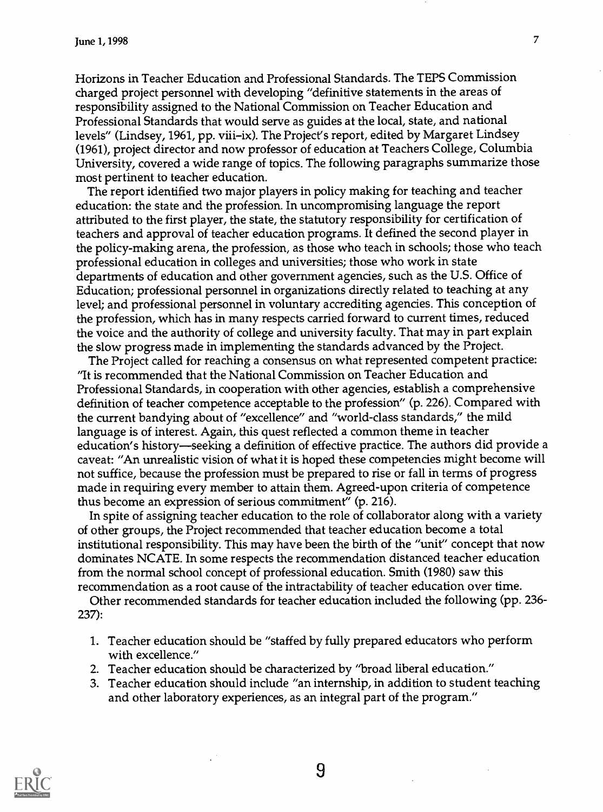Horizons in Teacher Education and Professional Standards. The TEPS Commission charged project personnel with developing "definitive statements in the areas of responsibility assigned to the National Commission on Teacher Education and Professional Standards that would serve as guides at the local, state, and national levels" (Lindsey, 1961, pp. viii-ix). The Project's report, edited by Margaret Lindsey (1961), project director and now professor of education at Teachers College, Columbia University, covered a wide range of topics. The following paragraphs summarize those most pertinent to teacher education.

The report identified two major players in policy making for teaching and teacher education: the state and the profession. In uncompromising language the report attributed to the first player, the state, the statutory responsibility for certification of teachers and approval of teacher education programs. It defined the second player in the policy-making arena, the profession, as those who teach in schools; those who teach professional education in colleges and universities; those who work in state departments of education and other government agencies, such as the U.S. Office of Education; professional personnel in organizations directly related to teaching at any level; and professional personnel in voluntary accrediting agencies. This conception of the profession, which has in many respects carried forward to current times, reduced the voice and the authority of college and university faculty. That may in part explain the slow progress made in implementing the standards advanced by the Project.

The Project called for reaching a consensus on what represented competent practice: "It is recommended that the National Commission on Teacher Education and Professional Standards, in cooperation with other agencies, establish a comprehensive definition of teacher competence acceptable to the profession" (p. 226). Compared with the current bandying about of "excellence" and "world-class standards," the mild language is of interest. Again, this quest reflected a common theme in teacher education's history-seeking a definition of effective practice. The authors did provide a caveat: "An unrealistic vision of what it is hoped these competencies might become will not suffice, because the profession must be prepared to rise or fall in terms of progress made in requiring every member to attain them. Agreed-upon criteria of competence thus become an expression of serious commitment" (p. 216).

In spite of assigning teacher education to the role of collaborator along with a variety of other groups, the Project recommended that teacher education become a total institutional responsibility. This may have been the birth of the "unit" concept that now dominates NCATE. In some respects the recommendation distanced teacher education from the normal school concept of professional education. Smith (1980) saw this recommendation as a root cause of the intractability of teacher education over time.

Other recommended standards for teacher education included the following (pp. 236- 237):

- 1. Teacher education should be "staffed by fully prepared educators who perform with excellence."
- 2. Teacher education should be characterized by "broad liberal education."
- 3. Teacher education should include "an internship, in addition to student teaching and other laboratory experiences, as an integral part of the program."

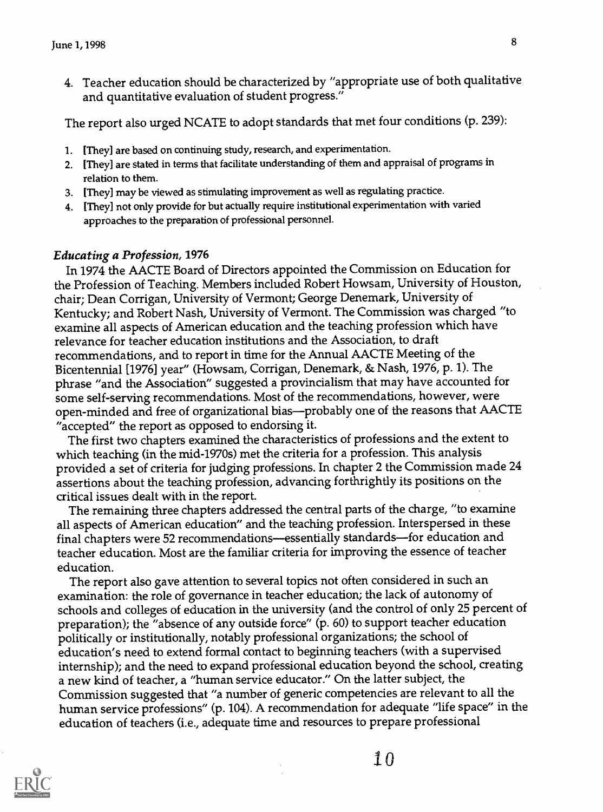4. Teacher education should be characterized by "appropriate use of both qualitative and quantitative evaluation of student progress."

The report also urged NCATE to adopt standards that met four conditions (p. 239):

- 1. [They] are based on continuing study, research, and experimentation.
- 2. [They] are stated in terms that facilitate understanding of them and appraisal of programs in relation to them.
- 3. [They] may be viewed as stimulating improvement as well as regulating practice.
- 4. [They] not only provide for but actually require institutional experimentation with varied approaches to the preparation of professional personnel.

#### Educating a Profession, 1976

In 1974 the AACTE Board of Directors appointed the Commission on Education for the Profession of Teaching. Members included Robert Howsam, University of Houston, chair; Dean Corrigan, University of Vermont; George Denemark, University of Kentucky; and Robert Nash, University of Vermont. The Commission was charged "to examine all aspects of American education and the teaching profession which have relevance for teacher education institutions and the Association, to draft recommendations, and to report in time for the Annual AACTE Meeting of the Bicentennial [1976] year" (Howsam, Corrigan, Denemark, & Nash, 1976, p. 1). The phrase "and the Association" suggested a provincialism that may have accounted for some self-serving recommendations. Most of the recommendations, however, were open-minded and free of organizational bias--probably one of the reasons that AACTE "accepted" the report as opposed to endorsing it.

The first two chapters examined the characteristics of professions and the extent to which teaching (in the mid-1970s) met the criteria for a profession. This analysis provided a set of criteria for judging professions. In chapter 2 the Commission made 24 assertions about the teaching profession, advancing forthrightly its positions on the critical issues dealt with in the report.

The remaining three chapters addressed the central parts of the charge, "to examine all aspects of American education" and the teaching profession. Interspersed in these final chapters were 52 recommendations—essentially standards—for education and teacher education. Most are the familiar criteria for improving the essence of teacher education.

The report also gave attention to several topics not often considered in such an examination: the role of governance in teacher education; the lack of autonomy of schools and colleges of education in the university (and the control of only 25 percent of preparation); the "absence of any outside force" (p. 60) to support teacher education politically or institutionally, notably professional organizations; the school of education's need to extend formal contact to beginning teachers (with a supervised internship); and the need to expand professional education beyond the school, creating a new kind of teacher, a "human service educator." On the latter subject, the Commission suggested that "a number of generic competencies are relevant to all the human service professions" (p. 104). A recommendation for adequate "life space" in the education of teachers (i.e., adequate time and resources to prepare professional

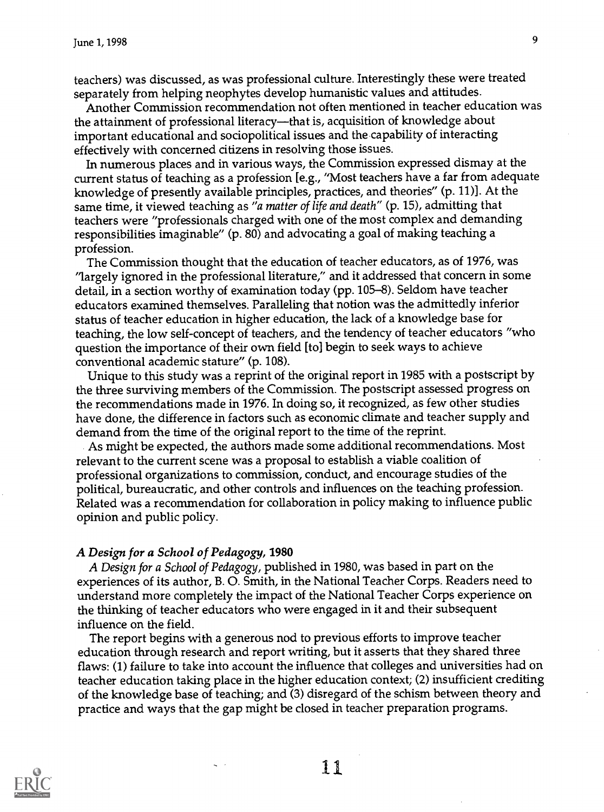teachers) was discussed, as was professional culture. Interestingly these were treated separately from helping neophytes develop humanistic values and attitudes.

Another Commission recommendation not often mentioned in teacher education was the attainment of professional literacy—that is, acquisition of knowledge about important educational and sociopolitical issues and the capability of interacting effectively with concerned citizens in resolving those issues.

In numerous places and in various ways, the Commission expressed dismay at the current status of teaching as a profession [e.g., "Most teachers have a far from adequate knowledge of presently available principles, practices, and theories"  $(p. 11)$ ]. At the same time, it viewed teaching as "a matter of life and death" (p. 15), admitting that teachers were "professionals charged with one of the most complex and demanding responsibilities imaginable" (p. 80) and advocating a goal of making teaching a profession.

The Commission thought that the education of teacher educators, as of 1976, was "largely ignored in the professional literature," and it addressed that concern in some detail, in a section worthy of examination today (pp. 105-8). Seldom have teacher educators examined themselves. Paralleling that notion was the admittedly inferior status of teacher education in higher education, the lack of a knowledge base for teaching, the low self-concept of teachers, and the tendency of teacher educators "who question the importance of their own field [to] begin to seek ways to achieve conventional academic stature" (p. 108).

Unique to this study was a reprint of the original report in 1985 with a postscript by the three surviving members of the Commission. The postscript assessed progress on the recommendations made in 1976. In doing so, it recognized, as few other studies have done, the difference in factors such as economic climate and teacher supply and demand from the time of the original report to the time of the reprint.

As might be expected, the authors made some additional recommendations. Most relevant to the current scene was a proposal to establish a viable coalition of professional organizations to commission, conduct, and encourage studies of the political, bureaucratic, and other controls and influences on the teaching profession. Related was a recommendation for collaboration in policy making to influence public opinion and public policy.

#### A Design for a School of Pedagogy, 1980

A Design for a School of Pedagogy, published in 1980, was based in part on the experiences of its author, B. 0. Smith, in the National Teacher Corps. Readers need to understand more completely the impact of the National Teacher Corps experience on the thinking of teacher educators who were engaged in it and their subsequent influence on the field.

The report begins with a generous nod to previous efforts to improve teacher education through research and report writing, but it asserts that they shared three flaws: (1) failure to take into account the influence that colleges and universities had on teacher education taking place in the higher education context; (2) insufficient crediting of the knowledge base of teaching; and (3) disregard of the schism between theory and practice and ways that the gap might be closed in teacher preparation programs.

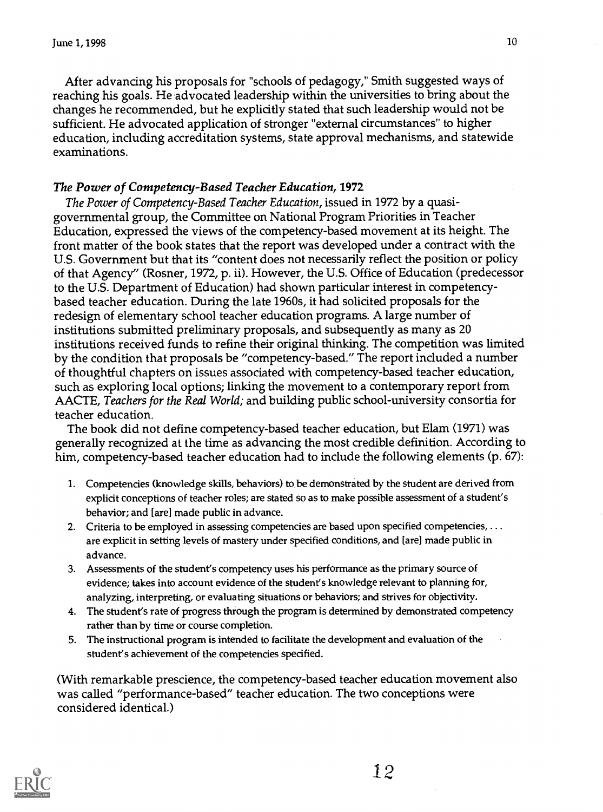After advancing his proposals for "schools of pedagogy," Smith suggested ways of reaching his goals. He advocated leadership within the universities to bring about the changes he recommended, but he explicitly stated that such leadership would not be sufficient. He advocated application of stronger "external circumstances" to higher education, including accreditation systems, state approval mechanisms, and statewide examinations.

# The Power of Competency-Based Teacher Education, 1972

The Power of Competency-Based Teacher Education, issued in 1972 by a quasigovernmental group, the Committee on National Program Priorities in Teacher Education, expressed the views of the competency-based movement at its height. The front matter of the book states that the report was developed under a contract with the U.S. Government but that its "content does not necessarily reflect the position or policy of that Agency" (Rosner, 1972, p. ii). However, the U.S. Office of Education (predecessor to the U.S. Department of Education) had shown particular interest in competencybased teacher education. During the late 1960s, it had solicited proposals for the redesign of elementary school teacher education programs. A large number of institutions submitted preliminary proposals, and subsequently as many as 20 institutions received funds to refine their original thinking. The competition was limited by the condition that proposals be "competency-based." The report included a number of thoughtful chapters on issues associated with competency-based teacher education, such as exploring local options; linking the movement to a contemporary report from AACTE, Teachers for the Real World; and building public school-university consortia for teacher education.

The book did not define competency-based teacher education, but Elam (1971) was generally recognized at the time as advancing the most credible definition. According to him, competency-based teacher education had to include the following elements (p. 67):

- 1. Competencies (knowledge skills, behaviors) to be demonstrated by the student are derived from explicit conceptions of teacher roles; are stated so as to make possible assessment of a student's behavior; and [are] made public in advance.
- 2. Criteria to be employed in assessing competencies are based upon specified competencies, ... are explicit in setting levels of mastery under specified conditions, and [are] made public in advance.
- 3. Assessments of the student's competency uses his performance as the primary source of evidence; takes into account evidence of the student's knowledge relevant to planning for, analyzing, interpreting, or evaluating situations or behaviors; and strives for objectivity.
- 4. The student's rate of progress through the program is determined by demonstrated competency rather than by time or course completion.
- 5. The instructional program is intended to facilitate the development and evaluation of the student's achievement of the competencies specified.

(With remarkable prescience, the competency-based teacher education movement also was called "performance-based" teacher education. The two conceptions were considered identical.)

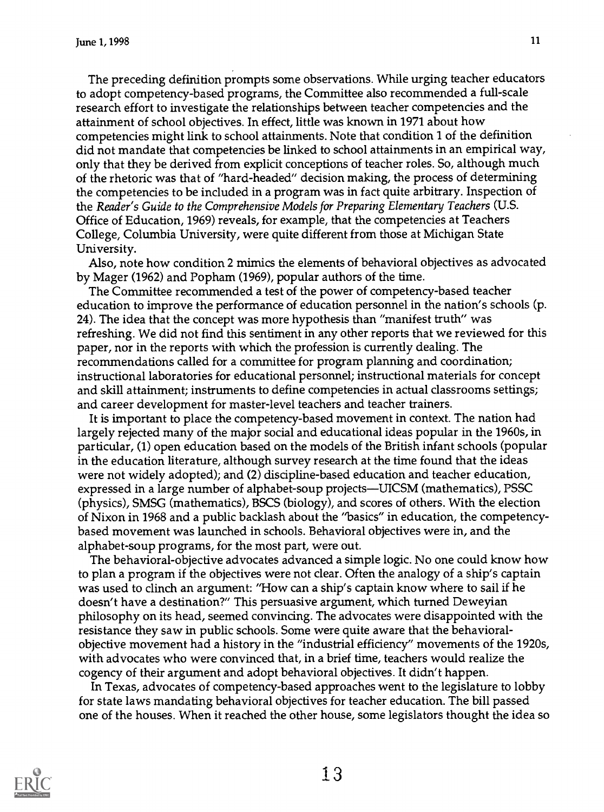The preceding definition prompts some observations. While urging teacher educators to adopt competency-based programs, the Committee also recommended a full-scale research effort to investigate the relationships between teacher competencies and the attainment of school objectives. In effect, little was known in 1971 about how competencies might link to school attainments. Note that condition 1 of the definition did not mandate that competencies be linked to school attainments in an empirical way, only that they be derived from explicit conceptions of teacher roles. So, although much of the rhetoric was that of "hard-headed" decision making, the process of determining the competencies to be included in a program was in fact quite arbitrary. Inspection of the Reader's Guide to the Comprehensive Models for Preparing Elementary Teachers (U.S. Office of Education, 1969) reveals, for example, that the competencies at Teachers College, Columbia University, were quite different from those at Michigan State University.

Also, note how condition 2 mimics the elements of behavioral objectives as advocated by Mager (1962) and Popham (1969), popular authors of the time.

The Committee recommended a test of the power of competency-based teacher education to improve the performance of education personnel in the nation's schools (p. 24). The idea that the concept was more hypothesis than "manifest truth" was refreshing. We did not find this sentiment in any other reports that we reviewed for this paper, nor in the reports with which the profession is currently dealing. The recommendations called for a committee for program planning and coordination; instructional laboratories for educational personnel; instructional materials for concept and skill attainment; instruments to define competencies in actual classrooms settings; and career development for master-level teachers and teacher trainers.

It is important to place the competency-based movement in context. The nation had largely rejected many of the major social and educational ideas popular in the 1960s, in particular, (1) open education based on the models of the British infant schools (popular in the education literature, although survey research at the time found that the ideas were not widely adopted); and (2) discipline-based education and teacher education, expressed in a large number of alphabet-soup projects—UICSM (mathematics), PSSC (physics), SMSG (mathematics), BSCS (biology), and scores of others. With the election of Nixon in 1968 and a public backlash about the "basics" in education, the competencybased movement was launched in schools. Behavioral objectives were in, and the alphabet-soup programs, for the most part, were out.

The behavioral-objective advocates advanced a simple logic. No one could know how to plan a program if the objectives were not clear. Often the analogy of a ship's captain was used to clinch an argument: "How can a ship's captain know where to sail if he doesn't have a destination?" This persuasive argument, which turned Deweyian philosophy on its head, seemed convincing. The advocates were disappointed with the resistance they saw in public schools. Some were quite aware that the behavioralobjective movement had a history in the "industrial efficiency" movements of the 1920s, with advocates who were convinced that, in a brief time, teachers would realize the cogency of their argument and adopt behavioral objectives. It didn't happen.

In Texas, advocates of competency-based approaches went to the legislature to lobby for state laws mandating behavioral objectives for teacher education. The bill passed one of the houses. When it reached the other house, some legislators thought the idea so

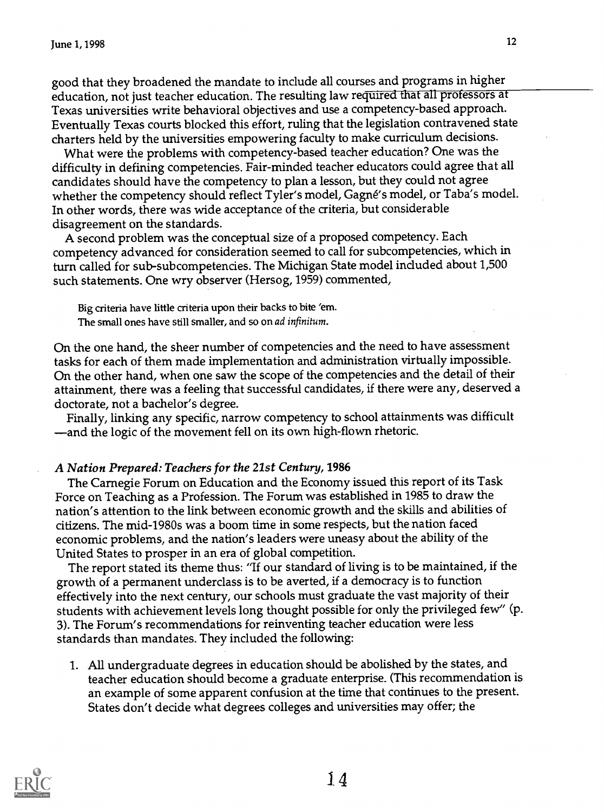good that they broadened the mandate to include all courses and programs in higher education, not just teacher education. The resulting law required that all professors at Texas universities write behavioral objectives and use a competency-based approach. Eventually Texas courts blocked this effort, ruling that the legislation contravened state charters held by the universities empowering faculty to make curriculum decisions.

What were the problems with competency-based teacher education? One was the difficulty in defining competencies. Fair-minded teacher educators could agree that all candidates should have the competency to plan a lesson, but they could not agree whether the competency should reflect Tyler's model, Gagne's model, or Taba's model. In other words, there was wide acceptance of the criteria, but considerable disagreement on the standards.

A second problem was the conceptual size of a proposed competency. Each competency advanced for consideration seemed to call for subcompetencies, which in turn called for sub-subcompetencies. The Michigan State model included about 1,500 such statements. One wry observer (Hersog, 1959) commented,

Big criteria have little criteria upon their backs to bite 'em. The small ones have still smaller, and so on ad infinitum.

On the one hand, the sheer number of competencies and the need to have assessment tasks for each of them made implementation and administration virtually impossible. On the other hand, when one saw the scope of the competencies and the detail of their attainment, there was a feeling that successful candidates, if there were any, deserved a doctorate, not a bachelor's degree.

Finally, linking any specific, narrow competency to school attainments was difficult —and the logic of the movement fell on its own high-flown rhetoric.

# A Nation Prepared: Teachers for the 21st Century, 1986

The Carnegie Forum on Education and the Economy issued this report of its Task Force on Teaching as a Profession. The Forum was established in 1985 to draw the nation's attention to the link between economic growth and the skills and abilities of citizens. The mid-1980s was a boom time in some respects, but the nation faced economic problems, and the nation's leaders were uneasy about the ability of the United States to prosper in an era of global competition.

The report stated its theme thus: "If our standard of living is to be maintained, if the growth of a permanent underclass is to be averted, if a democracy is to function effectively into the next century, our schools must graduate the vast majority of their students with achievement levels long thought possible for only the privileged few" (p. 3). The Forum's recommendations for reinventing teacher education were less standards than mandates. They included the following:

1. All undergraduate degrees in education should be abolished by the states, and teacher education should become a graduate enterprise. (This recommendation is an example of some apparent confusion at the time that continues to the present. States don't decide what degrees colleges and universities may offer; the

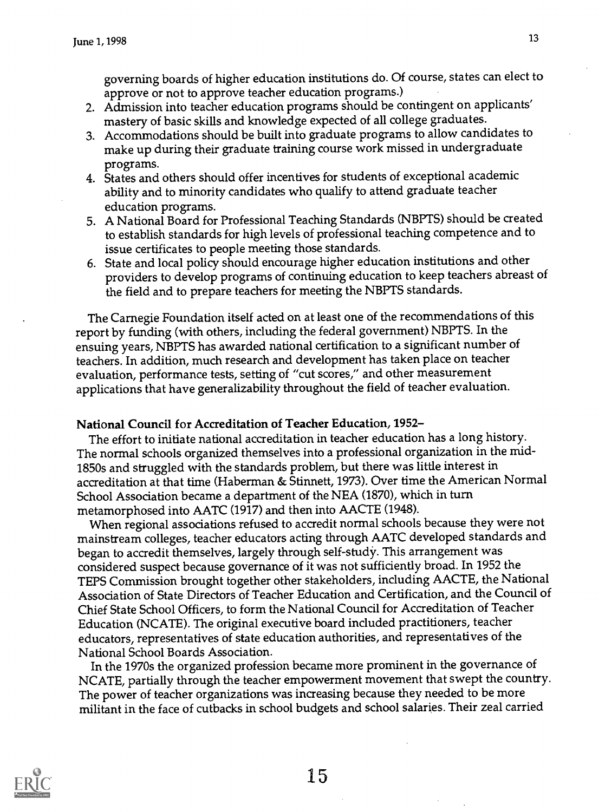governing boards of higher education institutions do. Of course, states can elect to approve or not to approve teacher education programs.)

- 2. Admission into teacher education programs should be contingent on applicants' mastery of basic skills and knowledge expected of all college graduates.
- 3. Accommodations should be built into graduate programs to allow candidates to make up during their graduate training course work missed in undergraduate programs.
- 4. States and others should offer incentives for students of exceptional academic ability and to minority candidates who qualify to attend graduate teacher education programs.
- 5. A National Board for Professional Teaching Standards (NBPTS) should be created to establish standards for high levels of professional teaching competence and to issue certificates to people meeting those standards.
- 6. State and local policy should encourage higher education institutions and other providers to develop programs of continuing education to keep teachers abreast of the field and to prepare teachers for meeting the NBPTS standards.

The Carnegie Foundation itself acted on at least one of the recommendations of this report by funding (with others, including the federal government) NBPTS. In the ensuing years, NBPTS has awarded national certification to a significant number of teachers. In addition, much research and development has taken place on teacher evaluation, performance tests, setting of "cut scores," and other measurement applications that have generalizability throughout the field of teacher evaluation.

### National Council for Accreditation of Teacher Education, 1952

The effort to initiate national accreditation in teacher education has a long history. The normal schools organized themselves into a professional organization in the mid-1850s and struggled with the standards problem, but there was little interest in accreditation at that time (Haberman & Stinnett, 1973). Over time the American Normal School Association became a department of the NEA (1870), which in turn metamorphosed into AATC (1917) and then into AACTE (1948).

When regional associations refused to accredit normal schools because they were not mainstream colleges, teacher educators acting through AATC developed standards and began to accredit themselves, largely through self-study. This arrangement was considered suspect because governance of it was not sufficiently broad. In 1952 the TEPS Commission brought together other stakeholders, including AACTE, the National Association of State Directors of Teacher Education and Certification, and the Council of Chief State School Officers, to form the National Council for Accreditation of Teacher Education (NCATE). The original executive board included practitioners, teacher educators, representatives of state education authorities, and representatives of the National School Boards Association.

In the 1970s the organized profession became more prominent in the governance of NCATE, partially through the teacher empowerment movement that swept the country. The power of teacher organizations was increasing because they needed to be more militant in the face of cutbacks in school budgets and school salaries. Their zeal carried

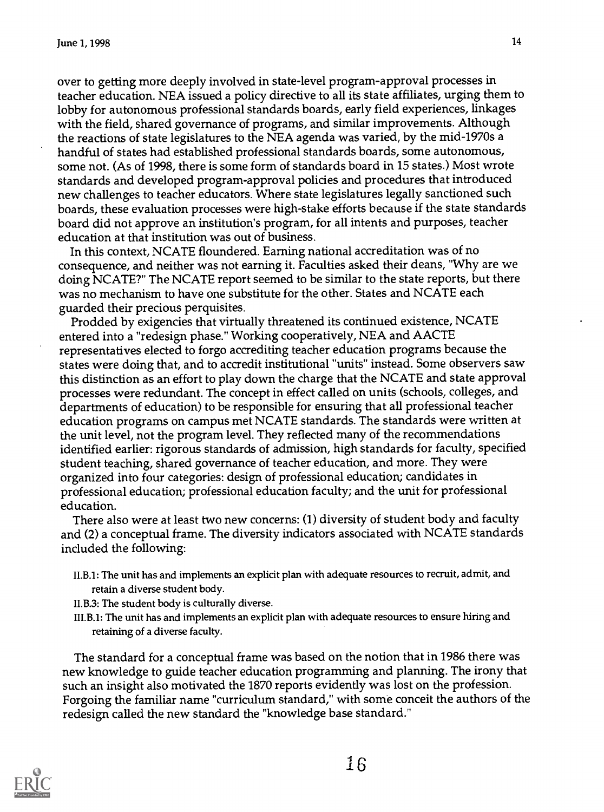over to getting more deeply involved in state-level program-approval processes in teacher education. NEA issued a policy directive to all its state affiliates, urging them to lobby for autonomous professional standards boards, early field experiences, linkages with the field, shared governance of programs, and similar improvements. Although the reactions of state legislatures to the NEA agenda was varied, by the mid-1970s a handful of states had established professional standards boards, some autonomous, some not. (As of 1998, there is some form of standards board in 15 states.) Most wrote standards and developed program-approval policies and procedures that introduced new challenges to teacher educators. Where state legislatures legally sanctioned such boards, these evaluation processes were high-stake efforts because if the state standards board did not approve an institution's program, for all intents and purposes, teacher education at that institution was out of business.

In this context, NCATE floundered. Earning national accreditation was of no consequence, and neither was not earning it. Faculties asked their deans, "Why are we doing NCATE?" The NCATE report seemed to be similar to the state reports, but there was no mechanism to have one substitute for the other. States and NCATE each guarded their precious perquisites.

Prodded by exigencies that virtually threatened its continued existence, NCATE entered into a "redesign phase." Working cooperatively, NEA and AACTE representatives elected to forgo accrediting teacher education programs because the states were doing that, and to accredit institutional "units" instead. Some observers saw this distinction as an effort to play down the charge that the NCATE and state approval processes were redundant. The concept in effect called on units (schools, colleges, and departments of education) to be responsible for ensuring that all professional teacher education programs on campus met NCATE standards. The standards were written at the unit level, not the program level. They reflected many of the recommendations identified earlier: rigorous standards of admission, high standards for faculty, specified student teaching, shared governance of teacher education, and more. They were organized into four categories: design of professional education; candidates in professional education; professional education faculty; and the unit for professional education.

There also were at least two new concerns: (1) diversity of student body and faculty and (2) a conceptual frame. The diversity indicators associated with NCATE standards included the following:

- 11.8.1: The unit has and implements an explicit plan with adequate resources to recruit, admit, and retain a diverse student body.
- II.B.3: The student body is culturally diverse.
- III.B.1: The unit has and implements an explicit plan with adequate resources to ensure hiring and retaining of a diverse faculty.

The standard for a conceptual frame was based on the notion that in 1986 there was new knowledge to guide teacher education programming and planning. The irony that such an insight also motivated the 1870 reports evidently was lost on the profession. Forgoing the familiar name "curriculum standard," with some conceit the authors of the redesign called the new standard the "knowledge base standard."

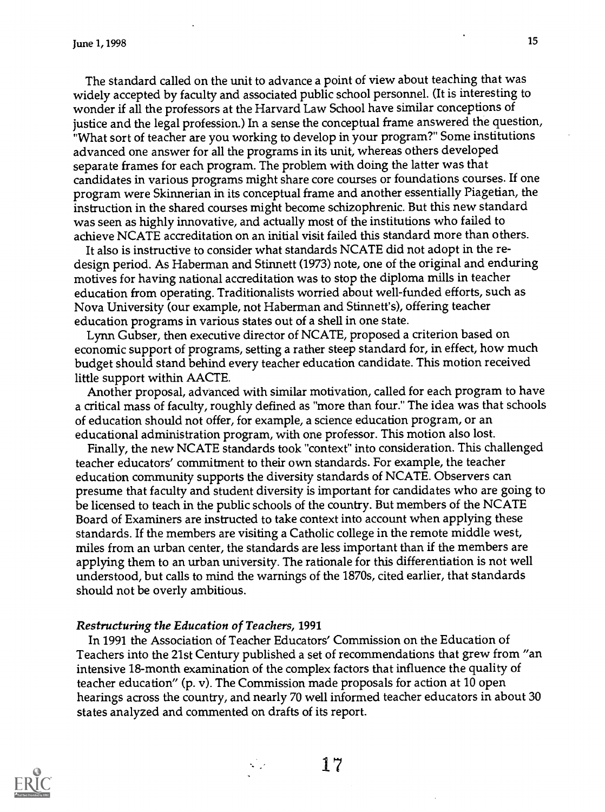The standard called on the unit to advance a point of view about teaching that was widely accepted by faculty and associated public school personnel. (It is interesting to wonder if all the professors at the Harvard Law School have similar conceptions of justice and the legal profession.) In a sense the conceptual frame answered the question, "What sort of teacher are you working to develop in your program?" Some institutions advanced one answer for all the programs in its unit, whereas others developed separate frames for each program. The problem with doing the latter was that candidates in various programs might share core courses or foundations courses. If one program were Skinnerian in its conceptual frame and another essentially Piagetian, the instruction in the shared courses might become schizophrenic. But this new standard was seen as highly innovative, and actually most of the institutions who failed to achieve NCATE accreditation on an initial visit failed this standard more than others.

It also is instructive to consider what standards NCATE did not adopt in the redesign period. As Haberman and Stinnett (1973) note, one of the original and enduring motives for having national accreditation was to stop the diploma mills in teacher education from operating. Traditionalists worried about well-funded efforts, such as Nova University (our example, not Haberman and Stinnett's), offering teacher education programs in various states out of a shell in one state.

Lynn Gubser, then executive director of NCATE, proposed a criterion based on economic support of programs, setting a rather steep standard for, in effect, how much budget should stand behind every teacher education candidate. This motion received little support within AACTE.

Another proposal, advanced with similar motivation, called for each program to have a critical mass of faculty, roughly defined as "more than four." The idea was that schools of education should not offer, for example, a science education program, or an educational administration program, with one professor. This motion also lost.

Finally, the new NCATE standards took "context" into consideration. This challenged teacher educators' commitment to their own standards. For example, the teacher education community supports the diversity standards of NCATE. Observers can presume that faculty and student diversity is important for candidates who are going to be licensed to teach in the public schools of the country. But members of the NCATE Board of Examiners are instructed to take context into account when applying these standards. If the members are visiting a Catholic college in the remote middle west, miles from an urban center, the standards are less important than if the members are applying them to an urban university. The rationale for this differentiation is not well understood, but calls to mind the warnings of the 1870s, cited earlier, that standards should not be overly ambitious.

#### Restructuring the Education of Teachers, 1991

In 1991 the Association of Teacher Educators' Commission on the Education of Teachers into the 21st Century published a set of recommendations that grew from "an intensive 18-month examination of the complex factors that influence the quality of teacher education" (p. v). The Commission made proposals for action at 10 open hearings across the country, and nearly 70 well informed teacher educators in about 30 states analyzed and commented on drafts of its report.

 $\mathcal{L}^{\mathcal{L}}$ 

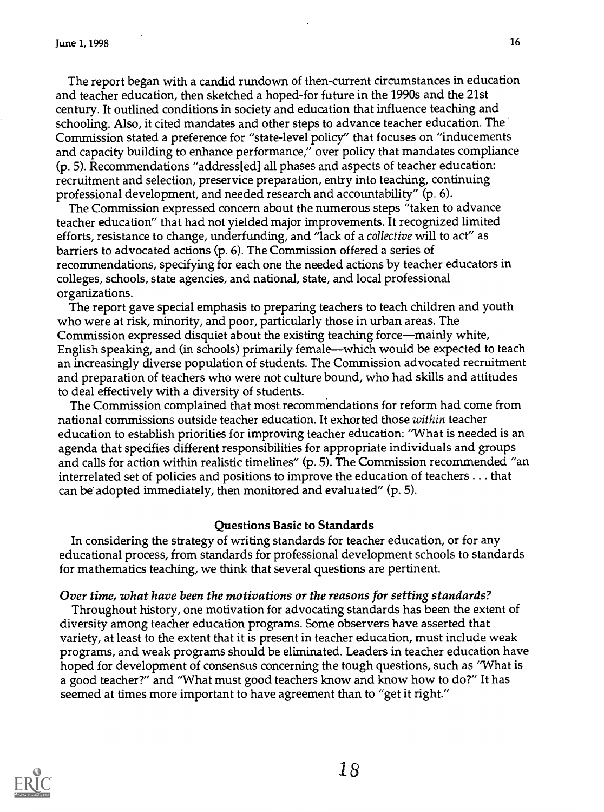The report began with a candid rundown of then-current circumstances in education and teacher education, then sketched a hoped-for future in the 1990s and the 21st century. It outlined conditions in society and education that influence teaching and schooling. Also, it cited mandates and other steps to advance teacher education. The Commission stated a preference for "state-level policy" that focuses on "inducements and capacity building to enhance performance," over policy that mandates compliance (p. 5). Recommendations "address[ed] all phases and aspects of teacher education: recruitment and selection, preservice preparation, entry into teaching, continuing professional development, and needed research and accountability" (p. 6).

The Commission expressed concern about the numerous steps "taken to advance teacher education" that had not yielded major improvements. It recognized limited efforts, resistance to change, underfunding, and "lack of a collective will to act" as barriers to advocated actions (p. 6). The Commission offered a series of recommendations, specifying for each one the needed actions by teacher educators in colleges, schools, state agencies, and national, state, and local professional organizations.

The report gave special emphasis to preparing teachers to teach children and youth who were at risk, minority, and poor, particularly those in urban areas. The Commission expressed disquiet about the existing teaching force—mainly white, English speaking, and (in schools) primarily femalewhich would be expected to teach an increasingly diverse population of students. The Commission advocated recruitment and preparation of teachers who were not culture bound, who had skills and attitudes to deal effectively with a diversity of students.

The Commission complained that most recommendations for reform had come from national commissions outside teacher education. It exhorted those within teacher education to establish priorities for improving teacher education: "What is needed is an agenda that specifies different responsibilities for appropriate individuals and groups and calls for action within realistic timelines" (p. 5). The Commission recommended "an interrelated set of policies and positions to improve the education of teachers . . . that can be adopted immediately, then monitored and evaluated" (p. 5).

#### Questions Basic to Standards

In considering the strategy of writing standards for teacher education, or for any educational process, from standards for professional development schools to standards for mathematics teaching, we think that several questions are pertinent.

#### Over time, what have been the motivations or the reasons for setting standards?

Throughout history, one motivation for advocating standards has been the extent of diversity among teacher education programs. Some observers have asserted that variety, at least to the extent that it is present in teacher education, must include weak programs, and weak programs should be eliminated. Leaders in teacher education have hoped for development of consensus concerning the tough questions, such as 'What is a good teacher?" and "What must good teachers know and know how to do?" It has seemed at times more important to have agreement than to "get it right."

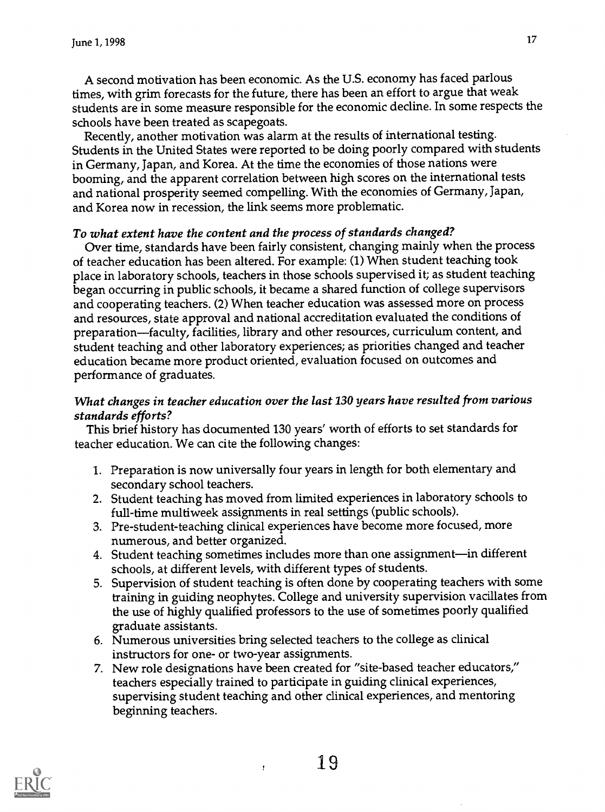A second motivation has been economic. As the U.S. economy has faced parlous times, with grim forecasts for the future, there has been an effort to argue that weak students are in some measure responsible for the economic decline. In some respects the schools have been treated as scapegoats.

Recently, another motivation was alarm at the results of international testing. Students in the United States were reported to be doing poorly compared with students in Germany, Japan, and Korea. At the time the economies of those nations were booming, and the apparent correlation between high scores on the international tests and national prosperity seemed compelling. With the economies of Germany, Japan, and Korea now in recession, the link seems more problematic.

## To what extent have the content and the process of standards changed?

Over time, standards have been fairly consistent, changing mainly when the process of teacher education has been altered. For example: (1) When student teaching took place in laboratory schools, teachers in those schools supervised it; as student teaching began occurring in public schools, it became a shared function of college supervisors and cooperating teachers. (2) When teacher education was assessed more on process and resources, state approval and national accreditation evaluated the conditions of preparation-faculty, facilities, library and other resources, curriculum content, and student teaching and other laboratory experiences; as priorities changed and teacher education became more product oriented, evaluation focused on outcomes and performance of graduates.

# What changes in teacher education over the last 130 years have resulted from various standards efforts?

This brief history has documented 130 years' worth of efforts to set standards for teacher education. We can cite the following changes:

- 1. Preparation is now universally four years in length for both elementary and secondary school teachers.
- 2. Student teaching has moved from limited experiences in laboratory schools to full-time multiweek assignments in real settings (public schools).
- 3. Pre-student-teaching clinical experiences have become more focused, more numerous, and better organized.
- 4. Student teaching sometimes includes more than one assignment-in different schools, at different levels, with different types of students.
- 5. Supervision of student teaching is often done by cooperating teachers with some training in guiding neophytes. College and university supervision vacillates from the use of highly qualified professors to the use of sometimes poorly qualified graduate assistants.
- 6. Numerous universities bring selected teachers to the college as clinical instructors for one- or two-year assignments.

 $\mathbf{r}$ 

7. New role designations have been created for "site-based teacher educators," teachers especially trained to participate in guiding clinical experiences, supervising student teaching and other clinical experiences, and mentoring beginning teachers.

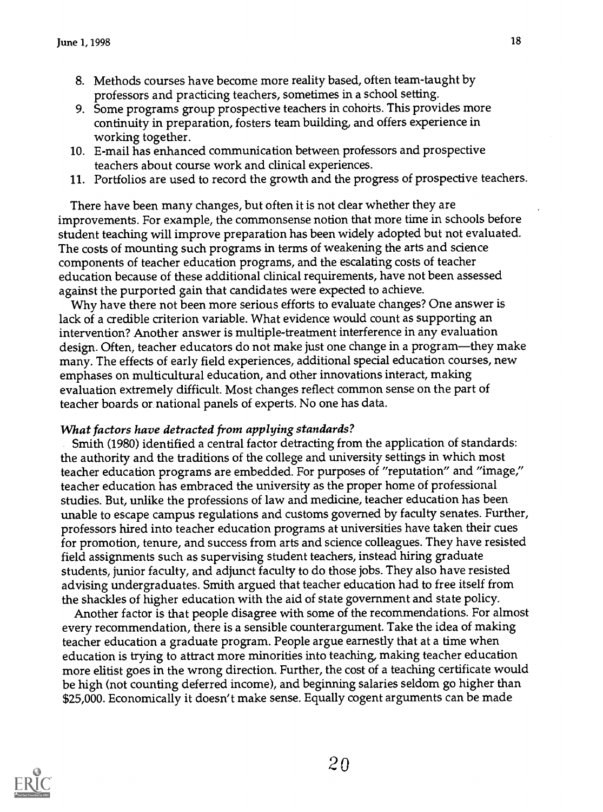- 8. Methods courses have become more reality based, often team-taught by professors and practicing teachers, sometimes in a school setting.
- 9. Some programs group prospective teachers in cohorts. This provides more continuity in preparation, fosters team building, and offers experience in working together.
- 10. E-mail has enhanced communication between professors and prospective teachers about course work and clinical experiences.
- 11. Portfolios are used to record the growth and the progress of prospective teachers.

There have been many changes, but often it is not clear whether they are improvements. For example, the commonsense notion that more time in schools before student teaching will improve preparation has been widely adopted but not evaluated. The costs of mounting such programs in terms of weakening the arts and science components of teacher education programs, and the escalating costs of teacher education because of these additional clinical requirements, have not been assessed against the purported gain that candidates were expected to achieve.

Why have there not been more serious efforts to evaluate changes? One answer is lack of a credible criterion variable. What evidence would count as supporting an intervention? Another answer is multiple-treatment interference in any evaluation design. Often, teacher educators do not make just one change in a program—they make many. The effects of early field experiences, additional special education courses, new emphases on multicultural education, and other innovations interact, making evaluation extremely difficult. Most changes reflect common sense on the part of teacher boards or national panels of experts. No one has data.

### What factors have detracted from applying standards?

Smith (1980) identified a central factor detracting from the application of standards: the authority and the traditions of the college and university settings in which most teacher education programs are embedded. For purposes of "reputation" and "image," teacher education has embraced the university as the proper home of professional studies. But, unlike the professions of law and medicine, teacher education has been unable to escape campus regulations and customs governed by faculty senates. Further, professors hired into teacher education programs at universities have taken their cues for promotion, tenure, and success from arts and science colleagues. They have resisted field assignments such as supervising student teachers, instead hiring graduate students, junior faculty, and adjunct faculty to do those jobs. They also have resisted advising undergraduates. Smith argued that teacher education had to free itself from the shackles of higher education with the aid of state government and state policy.

Another factor is that people disagree with some of the recommendations. For almost every recommendation, there is a sensible counterargument. Take the idea of making teacher education a graduate program. People argue earnestly that at a time when education is trying to attract more minorities into teaching, making teacher education more elitist goes in the wrong direction. Further, the cost of a teaching certificate would be high (not counting deferred income), and beginning salaries seldom go higher than \$25,000. Economically it doesn't make sense. Equally cogent arguments can be made

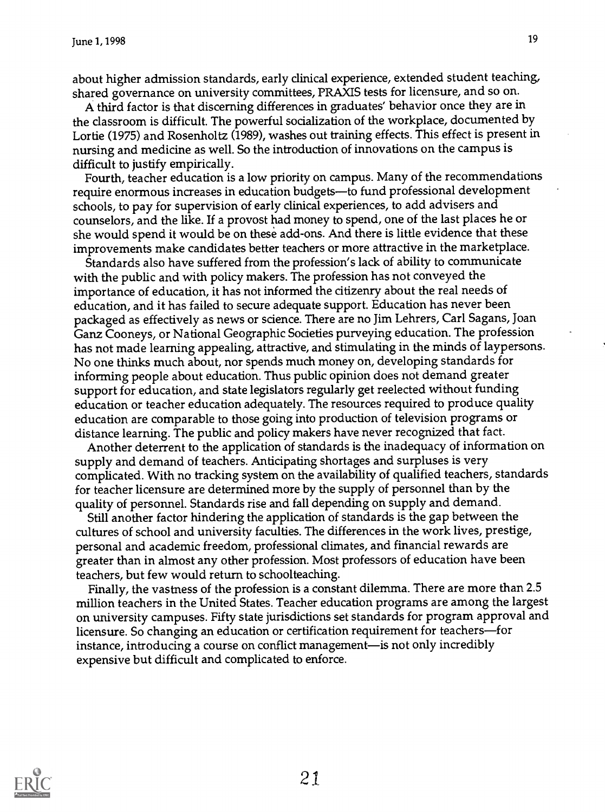about higher admission standards, early dinical experience, extended student teaching, shared governance on university committees, PRAXIS tests for licensure, and so on.

A third factor is that discerning differences in graduates' behavior once they are in the dassroom is difficult. The powerful socialization of the workplace, documented by Lortie (1975) and Rosenholtz (1989), washes out training effects. This effect is present in nursing and medicine as well. So the introduction of innovations on the campus is difficult to justify empirically.

Fourth, teacher education is a low priority on campus. Many of the recommendations require enormous increases in education budgets-to fund professional development schools, to pay for supervision of early clinical experiences, to add advisers and counselors, and the like. If a provost had money to spend, one of the last places he or she would spend it would be on these add-ons. And there is little evidence that these improvements make candidates better teachers or more attractive in the marketplace.

Standards also have suffered from the profession's lack of ability to communicate with the public and with policy makers. The profession has not conveyed the importance of education, it has not informed the citizenry about the real needs of education, and it has failed to secure adequate support. Education has never been packaged as effectively as news or science. There are no Jim Lehrers, Carl Sagans, Joan Ganz Cooneys, or National Geographic Societies purveying education. The profession has not made learning appealing, attractive, and stimulating in the minds of laypersons. No one thinks much about, nor spends much money on, developing standards for informing people about education. Thus public opinion does not demand greater support for education, and state legislators regularly get reelected without funding education or teacher education adequately. The resources required to produce quality education are comparable to those going into production of television programs or distance learning. The public and policy makers have never recognized that fact.

Another deterrent to the application of standards is the inadequacy of information on supply and demand of teachers. Anticipating shortages and surpluses is very complicated. With no tracking system on the availability of qualified teachers, standards for teacher licensure are determined more by the supply of personnel than by the quality of personnel. Standards rise and fall depending on supply and demand.

Still another factor hindering the application of standards is the gap between the cultures of school and university faculties. The differences in the work lives, prestige, personal and academic freedom, professional climates, and financial rewards are greater than in almost any other profession. Most professors of education have been teachers, but few would return to schoolteaching.

Finally, the vastness of the profession is a constant dilemma. There are more than 2.5 million teachers in the United States. Teacher education programs are among the largest on university campuses. Fifty state jurisdictions set standards for program approval and licensure. So changing an education or certification requirement for teachers-for instance, introducing a course on conflict management—is not only incredibly expensive but difficult and complicated to enforce.

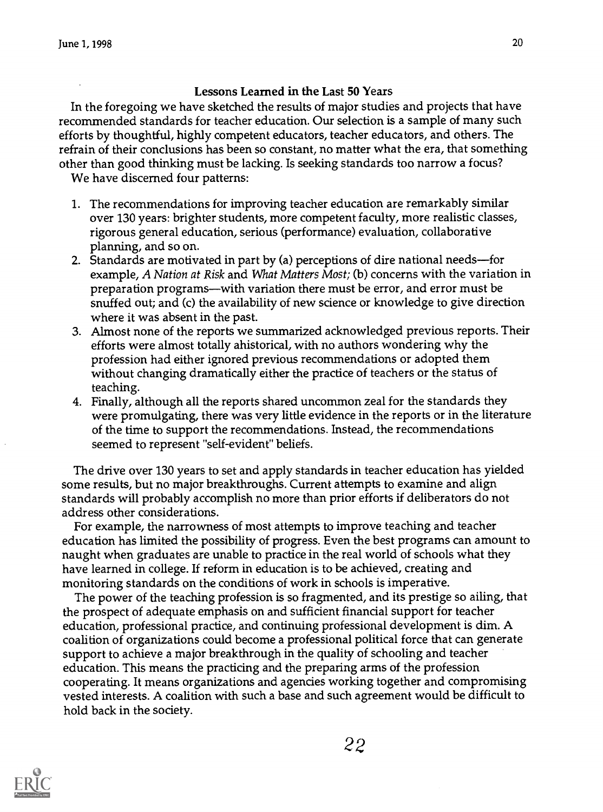# Lessons Learned in the Last 50 Years

In the foregoing we have sketched the results of major studies and projects that have recommended standards for teacher education. Our selection is a sample of many such efforts by thoughtful, highly competent educators, teacher educators, and others. The refrain of their conclusions has been so constant, no matter what the era, that something other than good thinking must be lacking. Is seeking standards too narrow a focus?

We have discerned four patterns:

- 1. The recommendations for improving teacher education are remarkably similar over 130 years: brighter students, more competent faculty, more realistic classes, rigorous general education, serious (performance) evaluation, collaborative planning, and so on.
- 2. Standards are motivated in part by  $(a)$  perceptions of dire national needs—for example, A Nation at Risk and What Matters Most; (b) concerns with the variation in preparation programs--with variation there must be error, and error must be snuffed out; and (c) the availability of new science or knowledge to give direction where it was absent in the past.
- 3. Almost none of the reports we summarized acknowledged previous reports. Their efforts were almost totally ahistorical, with no authors wondering why the profession had either ignored previous recommendations or adopted them without changing dramatically either the practice of teachers or the status of teaching.
- 4. Finally, although all the reports shared uncommon zeal for the standards they were promulgating, there was very little evidence in the reports or in the literature of the time to support the recommendations. Instead, the recommendations seemed to represent "self-evident" beliefs.

The drive over 130 years to set and apply standards in teacher education has yielded some results, but no major breakthroughs. Current attempts to examine and align standards will probably accomplish no more than prior efforts if deliberators do not address other considerations.

For example, the narrowness of most attempts to improve teaching and teacher education has limited the possibility of progress. Even the best programs can amount to naught when graduates are unable to practice in the real world of schools what they have learned in college. If reform in education is to be achieved, creating and monitoring standards on the conditions of work in schools is imperative.

The power of the teaching profession is so fragmented, and its prestige so ailing, that the prospect of adequate emphasis on and sufficient financial support for teacher education, professional practice, and continuing professional development is dim. A coalition of organizations could become a professional political force that can generate support to achieve a major breakthrough in the quality of schooling and teacher education. This means the practicing and the preparing arms of the profession cooperating. It means organizations and agencies working together and compromising vested interests. A coalition with such a base and such agreement would be difficult to hold back in the society.

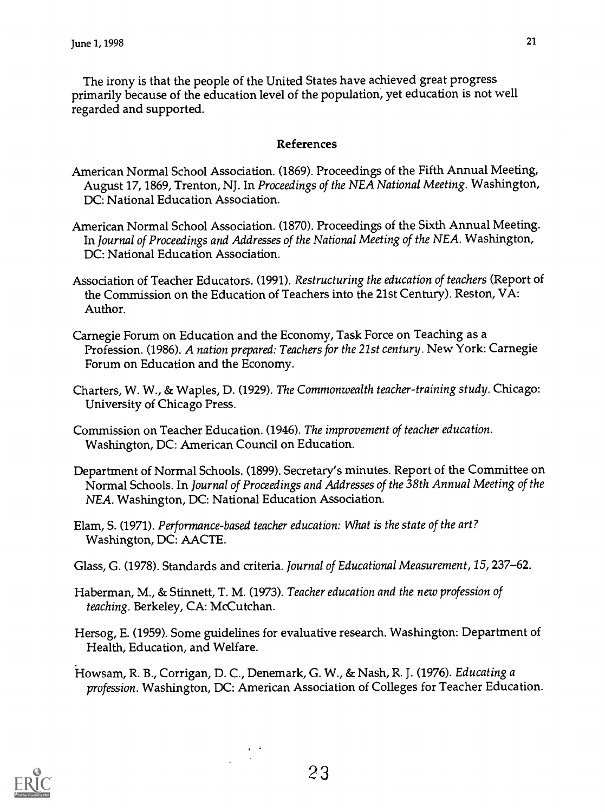The irony is that the people of the United States have achieved great progress primarily because of the education level of the population, yet education is not well regarded and supported.

# References

- American Normal School Association. (1869). Proceedings of the Fifth Annual Meeting, August 17, 1869, Trenton, NJ. In Proceedings of the NEA National Meeting. Washington, DC: National Education Association.
- American Normal School Association. (1870). Proceedings of the Sixth Annual Meeting. In Journal of Proceedings and Addresses of the National Meeting of the NEA. Washington, DC: National Education Association.
- Association of Teacher Educators. (1991). Restructuring the education of teachers (Report of the Commission on the Education of Teachers into the 21st Century). Reston, VA: Author.
- Carnegie Forum on Education and the Economy, Task Force on Teaching as a Profession. (1986). A nation prepared: Teachers for the 21st century. New York: Carnegie Forum on Education and the Economy.
- Charters, W. W., & Waples, D. (1929). The Commonwealth teacher-training study. Chicago: University of Chicago Press.
- Commission on Teacher Education. (1946). The improvement of teacher education. Washington, DC: American Council on Education.
- Department of Normal Schools. (1899). Secretary's minutes. Report of the Committee on Normal Schools. In Journal of Proceedings and Addresses of the 38th Annual Meeting of the NEA. Washington, DC: National Education Association.
- Elam, S. (1971). Performance-based teacher education: What is the state of the art? Washington, DC: AACTE.
- Glass, G. (1978). Standards and criteria. Journal of Educational Measurement, 15, 237-62.
- Haberman, M., & Stinnett, T. M. (1973). Teacher education and the new profession of teaching. Berkeley, CA: McCutchan.
- Hersog, E. (1959). Some guidelines for evaluative research. Washington: Department of Health, Education, and Welfare.
- Howsam, R. B., Corrigan, D. C., Denemark, G. W., & Nash, R. J. (1976). Educating a profession. Washington, DC: American Association of Colleges for Teacher Education.

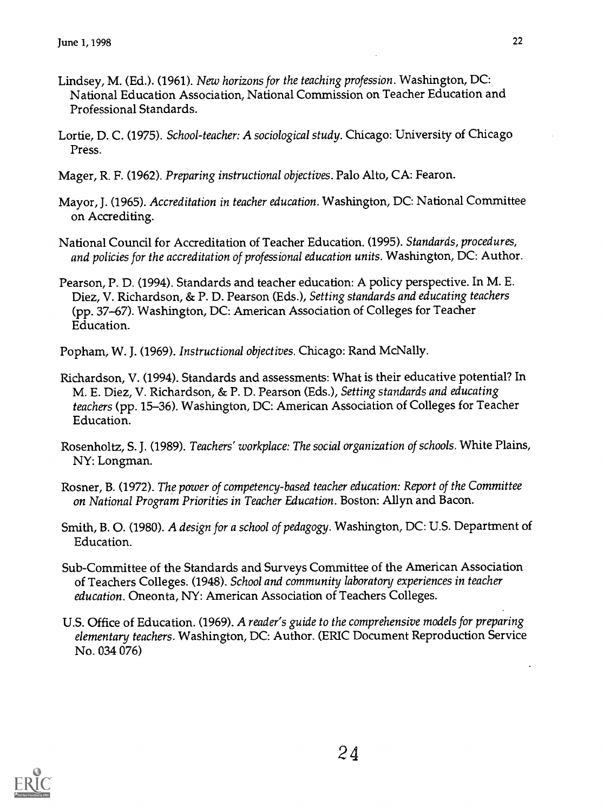- Lindsey, M. (Ed.). (1961). New horizons for the teaching profession. Washington, DC: National Education Association, National Commission on Teacher Education and Professional Standards.
- Lortie, D. C. (1975). School-teacher: A sociological study. Chicago: University of Chicago Press.
- Mager, R. F. (1962). Preparing instructional objectives. Palo Alto, CA: Fearon.
- Mayor, J. (1965). Accreditation in teacher education. Washington, DC: National Committee on Accrediting.
- National Council for Accreditation of Teacher Education. (1995). Standards, procedures, and policies for the accreditation of professional education units. Washington, DC: Author.
- Pearson, P. D. (1994). Standards and teacher education: A policy perspective. In M. E. Diez, V. Richardson, & P. D. Pearson (Eds.), Setting standards and educating teachers (pp. 37-67). Washington, DC: American Association of Colleges for Teacher Education.
- Popham, W. J. (1969). Instructional objectives. Chicago: Rand McNally.
- Richardson, V. (1994). Standards and assessments: What is their educative potential? In M. E. Diez, V. Richardson, & P. D. Pearson (Eds.), Setting standards and educating teachers (pp. 15-36). Washington, DC: American Association of Colleges for Teacher Education.
- Rosenholtz, S. J. (1989). Teachers' workplace: The social organization of schools. White Plains, NY: Longman.
- Rosner, B. (1972). The power of competency-based teacher education: Report of the Committee on National Program Priorities in Teacher Education. Boston: Allyn and Bacon.
- Smith, B. 0. (1980). A design for a school of pedagogy. Washington, DC: U.S. Department of Education.
- Sub-Committee of the Standards and Surveys Committee of the American Association of Teachers Colleges. (1948). School and community laboratory experiences in teacher education. Oneonta, NY: American Association of Teachers Colleges.
- U.S. Office of Education. (1969). A reader's guide to the comprehensive models for preparing elementary teachers. Washington, DC: Author. (ERIC Document Reproduction Service No. 034 076)

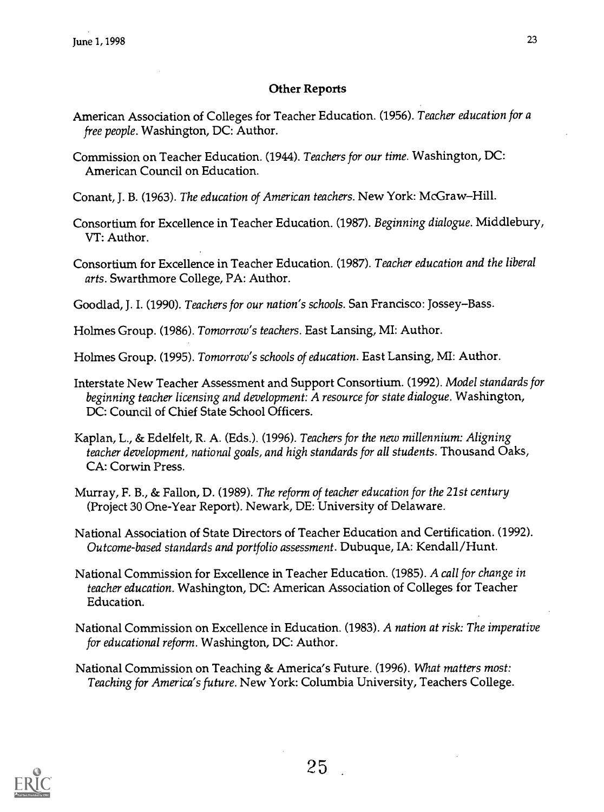## Other Reports

- American Association of Colleges for Teacher Education. (1956). Teacher education for a free people. Washington, DC: Author.
- Commission on Teacher Education. (1944). Teachers for our time. Washington, DC: American Council on Education.
- Conant, J. B. (1963). The education of American teachers. New York: McGraw-Hill.
- Consortium for Excellence in Teacher Education. (1987). Beginning dialogue. Middlebury, VT: Author.
- Consortium for Excellence in Teacher Education. (1987). Teacher education and the liberal arts. Swarthmore College, PA: Author.

Goodlad, J. I. (1990). Teachers for our nation's schools. San Francisco: Jossey-Bass.

Holmes Group. (1986). Tomorrow's teachers. East Lansing, MI: Author.

Holmes Group. (1995). Tomorrow's schools of education. East Lansing, MI: Author.

- Interstate New Teacher Assessment and Support Consortium. (1992). Model standards for beginning teacher licensing and development: A resource for state dialogue. Washington, DC: Council of Chief State School Officers.
- Kaplan, L., & Edelfelt, R. A. (Eds.). (1996). Teachers for the new millennium: Aligning teacher development, national goals, and high standards for all students. Thousand Oaks, CA: Corwin Press.
- Murray, F. B., & Fallon, D. (1989). The reform of teacher education for the 21st century (Project 30 One-Year Report). Newark, DE: University of Delaware.
- National Association of State Directors of Teacher Education and Certification. (1992). Outcome-based standards and portfolio assessment. Dubuque, IA: Kendall/Hunt.
- National Commission for Excellence in Teacher Education. (1985). A call for change in teacher education. Washington, DC: American Association of Colleges for Teacher Education.
- National Commission on Excellence in Education. (1983). A nation at risk: The imperative for educational reform. Washington, DC: Author.
- National Commission on Teaching & America's Future. (1996). What matters most: Teaching for America's future. New York: Columbia University, Teachers College.

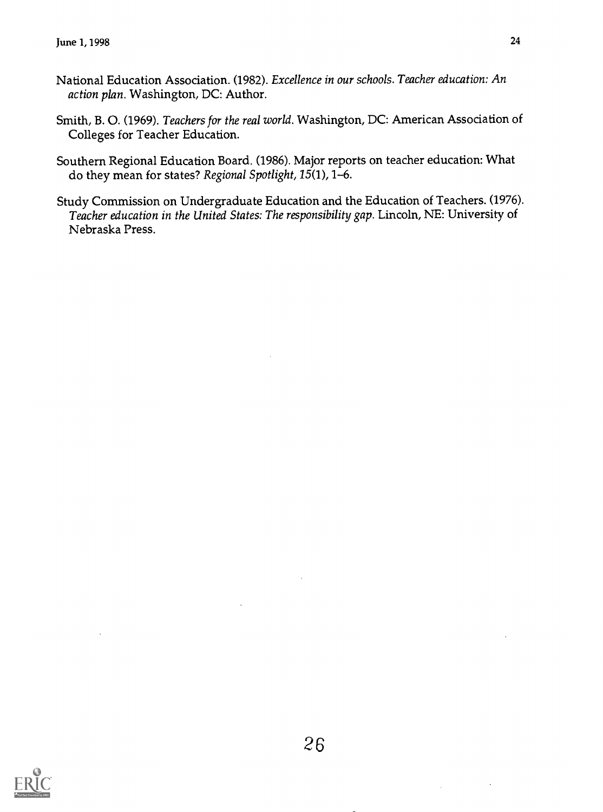- National Education Association. (1982). Excellence in our schools. Teacher education: An action plan. Washington, DC: Author.
- Smith, B. 0. (1969). Teachers for the real world. Washington, DC: American Association of Colleges for Teacher Education.
- Southern Regional Education Board. (1986). Major reports on teacher education: What do they mean for states? Regional Spotlight, 15(1), 1-6.
- Study Commission on Undergraduate Education and the Education of Teachers. (1976). Teacher education in the United States: The responsibility gap. Lincoln, NE: University of Nebraska Press.

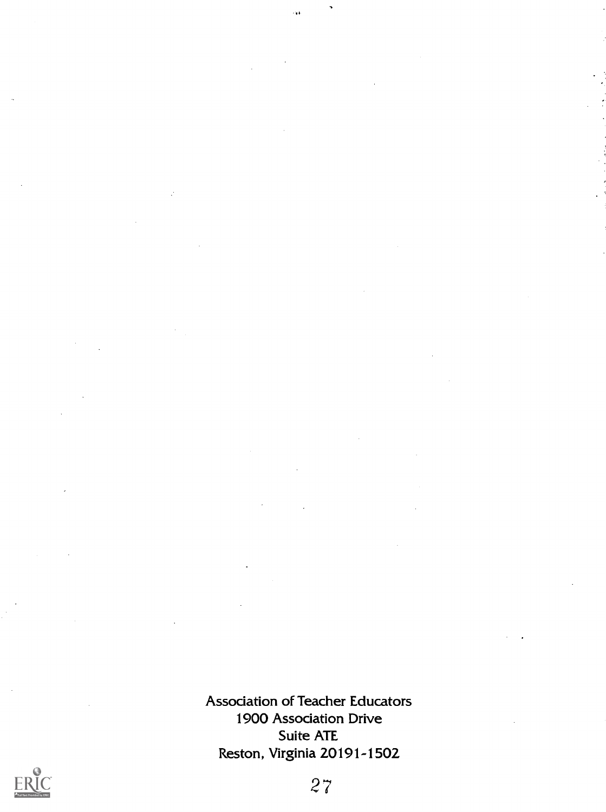Association of Teacher Educators 1900 Association Drive Suite ATE Reston, Virginia 20191-1502



nas internacionales de la contra de la contra de la contra de la contra de la contra de la contra de la contra<br>1919 : la contra de la contra de la contra de la contra de la contra de la contra de la contra de la contra d